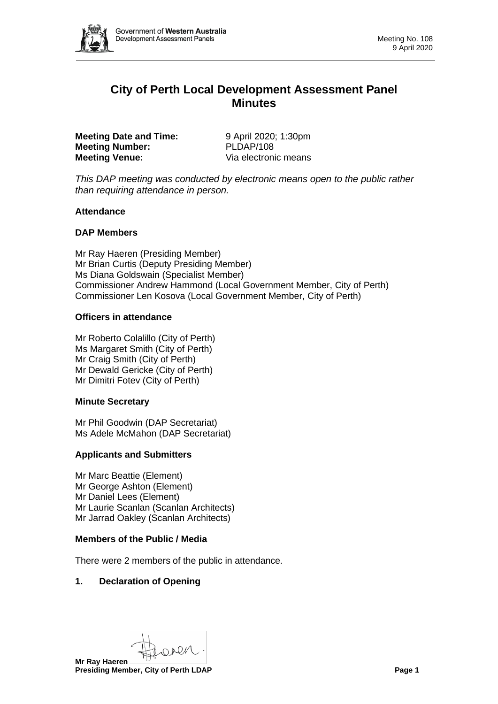

# **City of Perth Local Development Assessment Panel Minutes**

**Meeting Date and Time:** 9 April 2020; 1:30pm **Meeting Number:** PLDAP/108 **Meeting Venue:** Via electronic means

*This DAP meeting was conducted by electronic means open to the public rather than requiring attendance in person.*

### **Attendance**

# **DAP Members**

Mr Ray Haeren (Presiding Member) Mr Brian Curtis (Deputy Presiding Member) Ms Diana Goldswain (Specialist Member) Commissioner Andrew Hammond (Local Government Member, City of Perth) Commissioner Len Kosova (Local Government Member, City of Perth)

### **Officers in attendance**

Mr Roberto Colalillo (City of Perth) Ms Margaret Smith (City of Perth) Mr Craig Smith (City of Perth) Mr Dewald Gericke (City of Perth) Mr Dimitri Fotev (City of Perth)

#### **Minute Secretary**

Mr Phil Goodwin (DAP Secretariat) Ms Adele McMahon (DAP Secretariat)

# **Applicants and Submitters**

Mr Marc Beattie (Element) Mr George Ashton (Element) Mr Daniel Lees (Element) Mr Laurie Scanlan (Scanlan Architects) Mr Jarrad Oakley (Scanlan Architects)

#### **Members of the Public / Media**

There were 2 members of the public in attendance.

# **1. Declaration of Opening**

New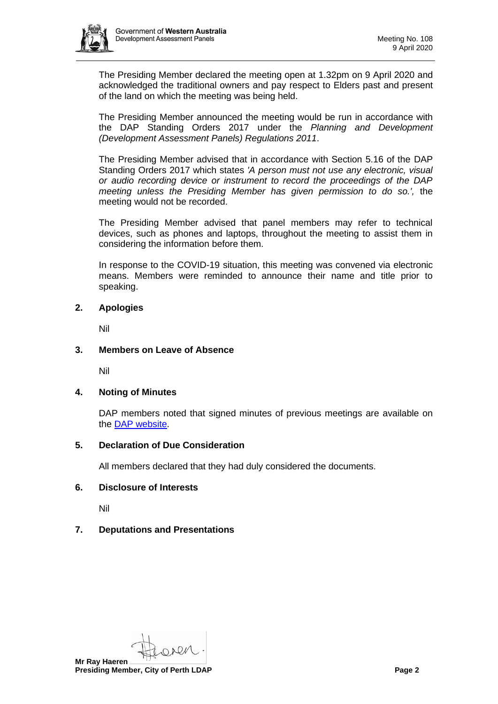

The Presiding Member declared the meeting open at 1.32pm on 9 April 2020 and acknowledged the traditional owners and pay respect to Elders past and present of the land on which the meeting was being held.

The Presiding Member announced the meeting would be run in accordance with the DAP Standing Orders 2017 under the *Planning and Development (Development Assessment Panels) Regulations 2011*.

The Presiding Member advised that in accordance with Section 5.16 of the DAP Standing Orders 2017 which states *'A person must not use any electronic, visual or audio recording device or instrument to record the proceedings of the DAP meeting unless the Presiding Member has given permission to do so.',* the meeting would not be recorded.

The Presiding Member advised that panel members may refer to technical devices, such as phones and laptops, throughout the meeting to assist them in considering the information before them.

In response to the COVID-19 situation, this meeting was convened via electronic means. Members were reminded to announce their name and title prior to speaking.

### **2. Apologies**

Nil

### **3. Members on Leave of Absence**

Nil

#### **4. Noting of Minutes**

DAP members noted that signed minutes of previous meetings are available on the [DAP website.](https://www.dplh.wa.gov.au/about/development-assessment-panels/daps-agendas-and-minutes)

### **5. Declaration of Due Consideration**

All members declared that they had duly considered the documents.

# **6. Disclosure of Interests**

Nil

# **7. Deputations and Presentations**

NOM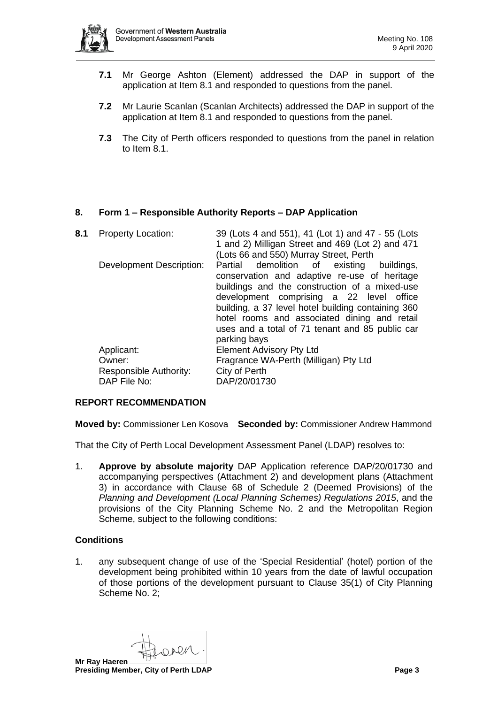

- **7.1** Mr George Ashton (Element) addressed the DAP in support of the application at Item 8.1 and responded to questions from the panel.
- **7.2** Mr Laurie Scanlan (Scanlan Architects) addressed the DAP in support of the application at Item 8.1 and responded to questions from the panel.
- **7.3** The City of Perth officers responded to questions from the panel in relation to Item 8.1.

# **8. Form 1 – Responsible Authority Reports – DAP Application**

| 8.1 | <b>Property Location:</b>       | 39 (Lots 4 and 551), 41 (Lot 1) and 47 - 55 (Lots<br>1 and 2) Milligan Street and 469 (Lot 2) and 471<br>(Lots 66 and 550) Murray Street, Perth                                                                                                                                                                                                                 |
|-----|---------------------------------|-----------------------------------------------------------------------------------------------------------------------------------------------------------------------------------------------------------------------------------------------------------------------------------------------------------------------------------------------------------------|
|     | <b>Development Description:</b> | Partial demolition of existing buildings,<br>conservation and adaptive re-use of heritage<br>buildings and the construction of a mixed-use<br>development comprising a 22 level office<br>building, a 37 level hotel building containing 360<br>hotel rooms and associated dining and retail<br>uses and a total of 71 tenant and 85 public car<br>parking bays |
|     | Applicant:                      | <b>Element Advisory Pty Ltd</b>                                                                                                                                                                                                                                                                                                                                 |
|     | Owner:                          | Fragrance WA-Perth (Milligan) Pty Ltd                                                                                                                                                                                                                                                                                                                           |
|     | <b>Responsible Authority:</b>   | City of Perth                                                                                                                                                                                                                                                                                                                                                   |
|     | DAP File No:                    | DAP/20/01730                                                                                                                                                                                                                                                                                                                                                    |

#### **REPORT RECOMMENDATION**

**Moved by:** Commissioner Len Kosova **Seconded by:** Commissioner Andrew Hammond

That the City of Perth Local Development Assessment Panel (LDAP) resolves to:

1. **Approve by absolute majority** DAP Application reference DAP/20/01730 and accompanying perspectives (Attachment 2) and development plans (Attachment 3) in accordance with Clause 68 of Schedule 2 (Deemed Provisions) of the *Planning and Development (Local Planning Schemes) Regulations 2015*, and the provisions of the City Planning Scheme No. 2 and the Metropolitan Region Scheme, subject to the following conditions:

# **Conditions**

1. any subsequent change of use of the 'Special Residential' (hotel) portion of the development being prohibited within 10 years from the date of lawful occupation of those portions of the development pursuant to Clause 35(1) of City Planning Scheme No. 2;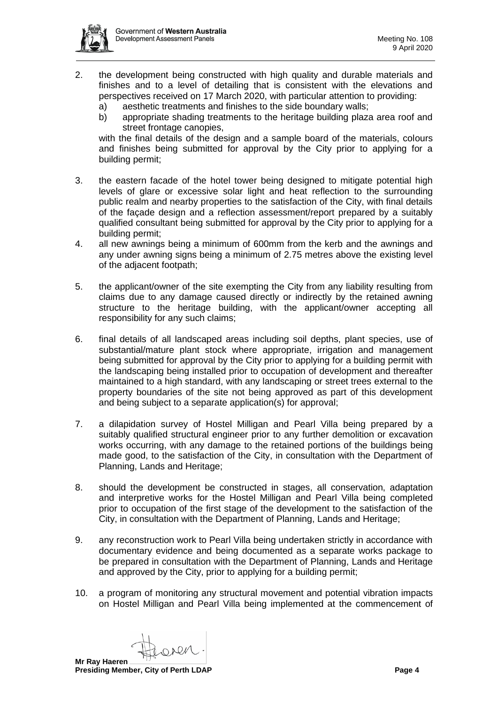

- 2. the development being constructed with high quality and durable materials and finishes and to a level of detailing that is consistent with the elevations and perspectives received on 17 March 2020, with particular attention to providing:
	- a) aesthetic treatments and finishes to the side boundary walls;
	- b) appropriate shading treatments to the heritage building plaza area roof and street frontage canopies,

with the final details of the design and a sample board of the materials, colours and finishes being submitted for approval by the City prior to applying for a building permit;

- 3. the eastern facade of the hotel tower being designed to mitigate potential high levels of glare or excessive solar light and heat reflection to the surrounding public realm and nearby properties to the satisfaction of the City, with final details of the façade design and a reflection assessment/report prepared by a suitably qualified consultant being submitted for approval by the City prior to applying for a building permit;
- 4. all new awnings being a minimum of 600mm from the kerb and the awnings and any under awning signs being a minimum of 2.75 metres above the existing level of the adjacent footpath;
- 5. the applicant/owner of the site exempting the City from any liability resulting from claims due to any damage caused directly or indirectly by the retained awning structure to the heritage building, with the applicant/owner accepting all responsibility for any such claims;
- 6. final details of all landscaped areas including soil depths, plant species, use of substantial/mature plant stock where appropriate, irrigation and management being submitted for approval by the City prior to applying for a building permit with the landscaping being installed prior to occupation of development and thereafter maintained to a high standard, with any landscaping or street trees external to the property boundaries of the site not being approved as part of this development and being subject to a separate application(s) for approval;
- 7. a dilapidation survey of Hostel Milligan and Pearl Villa being prepared by a suitably qualified structural engineer prior to any further demolition or excavation works occurring, with any damage to the retained portions of the buildings being made good, to the satisfaction of the City, in consultation with the Department of Planning, Lands and Heritage;
- 8. should the development be constructed in stages, all conservation, adaptation and interpretive works for the Hostel Milligan and Pearl Villa being completed prior to occupation of the first stage of the development to the satisfaction of the City, in consultation with the Department of Planning, Lands and Heritage;
- 9. any reconstruction work to Pearl Villa being undertaken strictly in accordance with documentary evidence and being documented as a separate works package to be prepared in consultation with the Department of Planning, Lands and Heritage and approved by the City, prior to applying for a building permit;
- 10. a program of monitoring any structural movement and potential vibration impacts on Hostel Milligan and Pearl Villa being implemented at the commencement of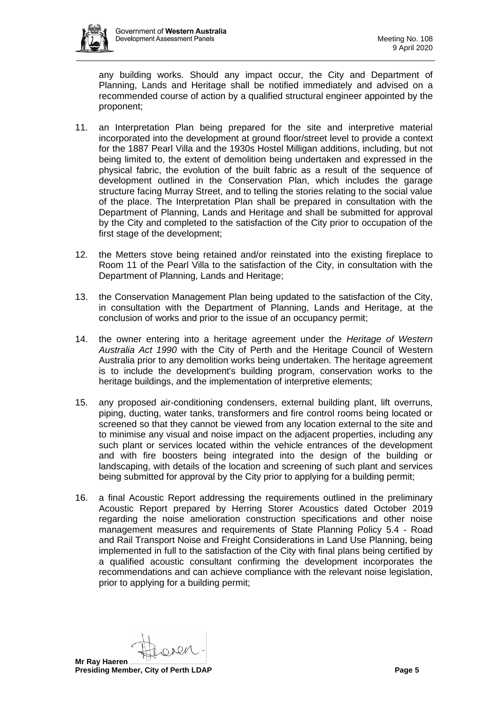

any building works. Should any impact occur, the City and Department of Planning, Lands and Heritage shall be notified immediately and advised on a recommended course of action by a qualified structural engineer appointed by the proponent;

- 11. an Interpretation Plan being prepared for the site and interpretive material incorporated into the development at ground floor/street level to provide a context for the 1887 Pearl Villa and the 1930s Hostel Milligan additions, including, but not being limited to, the extent of demolition being undertaken and expressed in the physical fabric, the evolution of the built fabric as a result of the sequence of development outlined in the Conservation Plan, which includes the garage structure facing Murray Street, and to telling the stories relating to the social value of the place. The Interpretation Plan shall be prepared in consultation with the Department of Planning, Lands and Heritage and shall be submitted for approval by the City and completed to the satisfaction of the City prior to occupation of the first stage of the development;
- 12. the Metters stove being retained and/or reinstated into the existing fireplace to Room 11 of the Pearl Villa to the satisfaction of the City, in consultation with the Department of Planning, Lands and Heritage;
- 13. the Conservation Management Plan being updated to the satisfaction of the City, in consultation with the Department of Planning, Lands and Heritage, at the conclusion of works and prior to the issue of an occupancy permit;
- 14. the owner entering into a heritage agreement under the *Heritage of Western Australia Act 1990* with the City of Perth and the Heritage Council of Western Australia prior to any demolition works being undertaken. The heritage agreement is to include the development's building program, conservation works to the heritage buildings, and the implementation of interpretive elements;
- 15. any proposed air-conditioning condensers, external building plant, lift overruns, piping, ducting, water tanks, transformers and fire control rooms being located or screened so that they cannot be viewed from any location external to the site and to minimise any visual and noise impact on the adjacent properties, including any such plant or services located within the vehicle entrances of the development and with fire boosters being integrated into the design of the building or landscaping, with details of the location and screening of such plant and services being submitted for approval by the City prior to applying for a building permit;
- 16. a final Acoustic Report addressing the requirements outlined in the preliminary Acoustic Report prepared by Herring Storer Acoustics dated October 2019 regarding the noise amelioration construction specifications and other noise management measures and requirements of State Planning Policy 5.4 - Road and Rail Transport Noise and Freight Considerations in Land Use Planning, being implemented in full to the satisfaction of the City with final plans being certified by a qualified acoustic consultant confirming the development incorporates the recommendations and can achieve compliance with the relevant noise legislation, prior to applying for a building permit;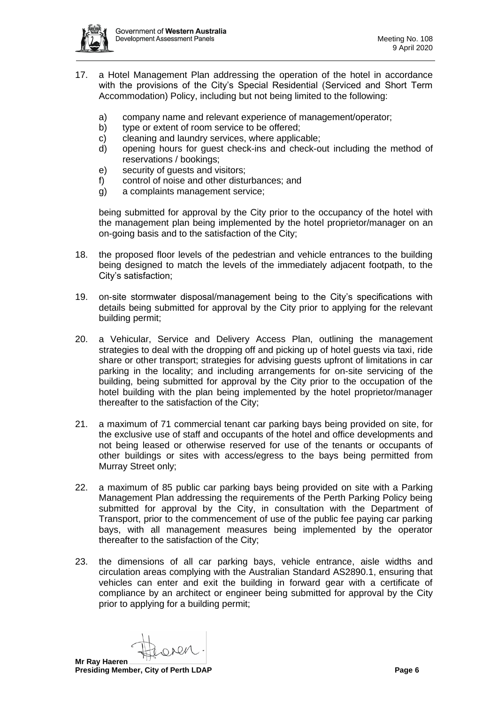

- 17. a Hotel Management Plan addressing the operation of the hotel in accordance with the provisions of the City's Special Residential (Serviced and Short Term Accommodation) Policy, including but not being limited to the following:
	- a) company name and relevant experience of management/operator;
	- b) type or extent of room service to be offered;
	- c) cleaning and laundry services, where applicable;
	- d) opening hours for guest check-ins and check-out including the method of reservations / bookings;
	- e) security of guests and visitors;
	- f) control of noise and other disturbances; and
	- g) a complaints management service;

being submitted for approval by the City prior to the occupancy of the hotel with the management plan being implemented by the hotel proprietor/manager on an on-going basis and to the satisfaction of the City;

- 18. the proposed floor levels of the pedestrian and vehicle entrances to the building being designed to match the levels of the immediately adjacent footpath, to the City's satisfaction;
- 19. on-site stormwater disposal/management being to the City's specifications with details being submitted for approval by the City prior to applying for the relevant building permit;
- 20. a Vehicular, Service and Delivery Access Plan, outlining the management strategies to deal with the dropping off and picking up of hotel guests via taxi, ride share or other transport; strategies for advising guests upfront of limitations in car parking in the locality; and including arrangements for on-site servicing of the building, being submitted for approval by the City prior to the occupation of the hotel building with the plan being implemented by the hotel proprietor/manager thereafter to the satisfaction of the City;
- 21. a maximum of 71 commercial tenant car parking bays being provided on site, for the exclusive use of staff and occupants of the hotel and office developments and not being leased or otherwise reserved for use of the tenants or occupants of other buildings or sites with access/egress to the bays being permitted from Murray Street only;
- 22. a maximum of 85 public car parking bays being provided on site with a Parking Management Plan addressing the requirements of the Perth Parking Policy being submitted for approval by the City, in consultation with the Department of Transport, prior to the commencement of use of the public fee paying car parking bays, with all management measures being implemented by the operator thereafter to the satisfaction of the City;
- 23. the dimensions of all car parking bays, vehicle entrance, aisle widths and circulation areas complying with the Australian Standard AS2890.1, ensuring that vehicles can enter and exit the building in forward gear with a certificate of compliance by an architect or engineer being submitted for approval by the City prior to applying for a building permit;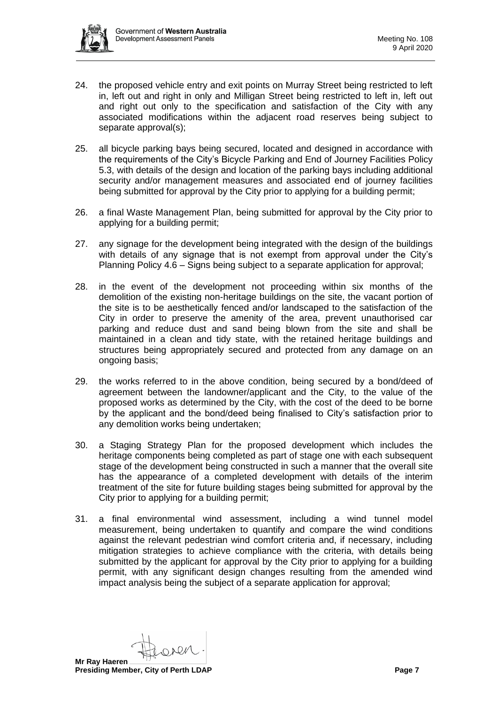

- 24. the proposed vehicle entry and exit points on Murray Street being restricted to left in, left out and right in only and Milligan Street being restricted to left in, left out and right out only to the specification and satisfaction of the City with any associated modifications within the adjacent road reserves being subject to separate approval(s);
- 25. all bicycle parking bays being secured, located and designed in accordance with the requirements of the City's Bicycle Parking and End of Journey Facilities Policy 5.3, with details of the design and location of the parking bays including additional security and/or management measures and associated end of journey facilities being submitted for approval by the City prior to applying for a building permit;
- 26. a final Waste Management Plan, being submitted for approval by the City prior to applying for a building permit;
- 27. any signage for the development being integrated with the design of the buildings with details of any signage that is not exempt from approval under the City's Planning Policy 4.6 – Signs being subject to a separate application for approval;
- 28. in the event of the development not proceeding within six months of the demolition of the existing non-heritage buildings on the site, the vacant portion of the site is to be aesthetically fenced and/or landscaped to the satisfaction of the City in order to preserve the amenity of the area, prevent unauthorised car parking and reduce dust and sand being blown from the site and shall be maintained in a clean and tidy state, with the retained heritage buildings and structures being appropriately secured and protected from any damage on an ongoing basis;
- 29. the works referred to in the above condition, being secured by a bond/deed of agreement between the landowner/applicant and the City, to the value of the proposed works as determined by the City, with the cost of the deed to be borne by the applicant and the bond/deed being finalised to City's satisfaction prior to any demolition works being undertaken;
- 30. a Staging Strategy Plan for the proposed development which includes the heritage components being completed as part of stage one with each subsequent stage of the development being constructed in such a manner that the overall site has the appearance of a completed development with details of the interim treatment of the site for future building stages being submitted for approval by the City prior to applying for a building permit;
- 31. a final environmental wind assessment, including a wind tunnel model measurement, being undertaken to quantify and compare the wind conditions against the relevant pedestrian wind comfort criteria and, if necessary, including mitigation strategies to achieve compliance with the criteria, with details being submitted by the applicant for approval by the City prior to applying for a building permit, with any significant design changes resulting from the amended wind impact analysis being the subject of a separate application for approval;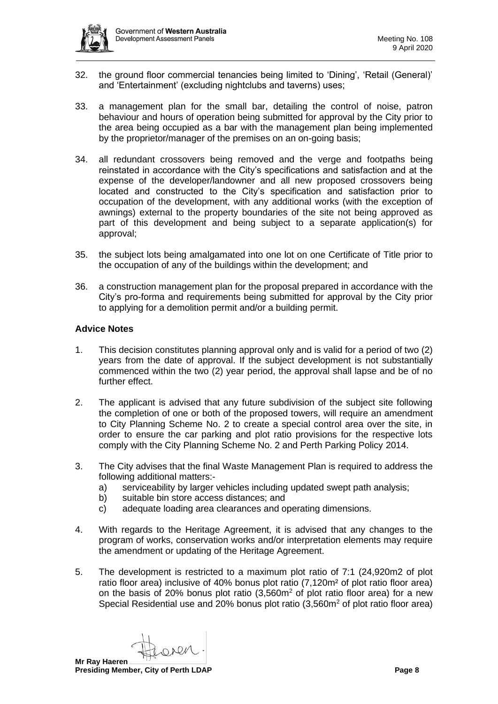

- 32. the ground floor commercial tenancies being limited to 'Dining', 'Retail (General)' and 'Entertainment' (excluding nightclubs and taverns) uses;
- 33. a management plan for the small bar, detailing the control of noise, patron behaviour and hours of operation being submitted for approval by the City prior to the area being occupied as a bar with the management plan being implemented by the proprietor/manager of the premises on an on-going basis;
- 34. all redundant crossovers being removed and the verge and footpaths being reinstated in accordance with the City's specifications and satisfaction and at the expense of the developer/landowner and all new proposed crossovers being located and constructed to the City's specification and satisfaction prior to occupation of the development, with any additional works (with the exception of awnings) external to the property boundaries of the site not being approved as part of this development and being subject to a separate application(s) for approval;
- 35. the subject lots being amalgamated into one lot on one Certificate of Title prior to the occupation of any of the buildings within the development; and
- 36. a construction management plan for the proposal prepared in accordance with the City's pro-forma and requirements being submitted for approval by the City prior to applying for a demolition permit and/or a building permit.

### **Advice Notes**

- 1. This decision constitutes planning approval only and is valid for a period of two (2) years from the date of approval. If the subject development is not substantially commenced within the two (2) year period, the approval shall lapse and be of no further effect.
- 2. The applicant is advised that any future subdivision of the subject site following the completion of one or both of the proposed towers, will require an amendment to City Planning Scheme No. 2 to create a special control area over the site, in order to ensure the car parking and plot ratio provisions for the respective lots comply with the City Planning Scheme No. 2 and Perth Parking Policy 2014.
- 3. The City advises that the final Waste Management Plan is required to address the following additional matters:
	- a) serviceability by larger vehicles including updated swept path analysis;
	- b) suitable bin store access distances; and
	- c) adequate loading area clearances and operating dimensions.
- 4. With regards to the Heritage Agreement, it is advised that any changes to the program of works, conservation works and/or interpretation elements may require the amendment or updating of the Heritage Agreement.
- 5. The development is restricted to a maximum plot ratio of 7:1 (24,920m2 of plot ratio floor area) inclusive of 40% bonus plot ratio (7,120m² of plot ratio floor area) on the basis of 20% bonus plot ratio  $(3.560m<sup>2</sup>$  of plot ratio floor area) for a new Special Residential use and 20% bonus plot ratio (3,560m<sup>2</sup> of plot ratio floor area)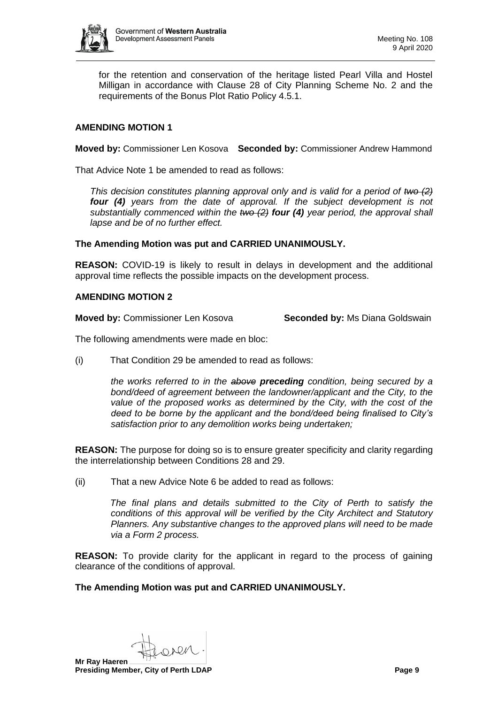

for the retention and conservation of the heritage listed Pearl Villa and Hostel Milligan in accordance with Clause 28 of City Planning Scheme No. 2 and the requirements of the Bonus Plot Ratio Policy 4.5.1.

# **AMENDING MOTION 1**

**Moved by:** Commissioner Len Kosova **Seconded by:** Commissioner Andrew Hammond

That Advice Note 1 be amended to read as follows:

*This decision constitutes planning approval only and is valid for a period of two (2) four (4) years from the date of approval. If the subject development is not substantially commenced within the two (2) four (4) year period, the approval shall lapse and be of no further effect.*

#### **The Amending Motion was put and CARRIED UNANIMOUSLY.**

**REASON:** COVID-19 is likely to result in delays in development and the additional approval time reflects the possible impacts on the development process.

### **AMENDING MOTION 2**

**Moved by:** Commissioner Len Kosova **Seconded by:** Ms Diana Goldswain

The following amendments were made en bloc:

(i) That Condition 29 be amended to read as follows:

*the works referred to in the above preceding condition, being secured by a bond/deed of agreement between the landowner/applicant and the City, to the value of the proposed works as determined by the City, with the cost of the deed to be borne by the applicant and the bond/deed being finalised to City's satisfaction prior to any demolition works being undertaken;*

**REASON:** The purpose for doing so is to ensure greater specificity and clarity regarding the interrelationship between Conditions 28 and 29.

(ii) That a new Advice Note 6 be added to read as follows:

*The final plans and details submitted to the City of Perth to satisfy the conditions of this approval will be verified by the City Architect and Statutory Planners. Any substantive changes to the approved plans will need to be made via a Form 2 process.*

**REASON:** To provide clarity for the applicant in regard to the process of gaining clearance of the conditions of approval.

#### **The Amending Motion was put and CARRIED UNANIMOUSLY.**

pen **Mr Ray Haeren Presiding Member, City of Perth LDAP Page 9 Page 9**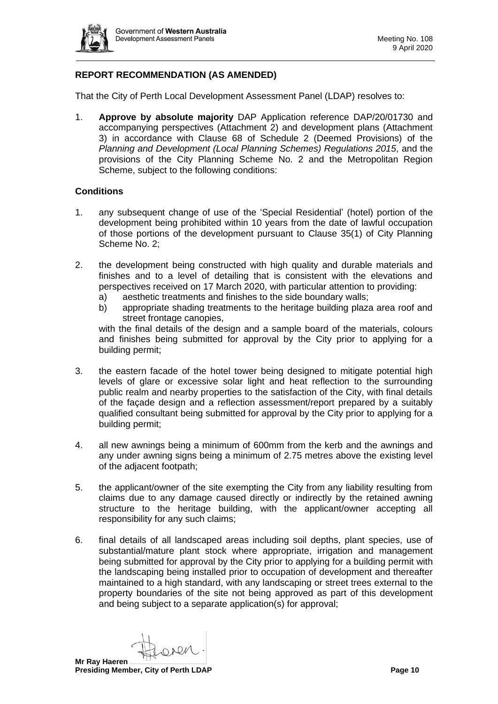

# **REPORT RECOMMENDATION (AS AMENDED)**

That the City of Perth Local Development Assessment Panel (LDAP) resolves to:

1. **Approve by absolute majority** DAP Application reference DAP/20/01730 and accompanying perspectives (Attachment 2) and development plans (Attachment 3) in accordance with Clause 68 of Schedule 2 (Deemed Provisions) of the *Planning and Development (Local Planning Schemes) Regulations 2015*, and the provisions of the City Planning Scheme No. 2 and the Metropolitan Region Scheme, subject to the following conditions:

### **Conditions**

- 1. any subsequent change of use of the 'Special Residential' (hotel) portion of the development being prohibited within 10 years from the date of lawful occupation of those portions of the development pursuant to Clause 35(1) of City Planning Scheme No. 2;
- 2. the development being constructed with high quality and durable materials and finishes and to a level of detailing that is consistent with the elevations and perspectives received on 17 March 2020, with particular attention to providing:
	- a) aesthetic treatments and finishes to the side boundary walls;
	- b) appropriate shading treatments to the heritage building plaza area roof and street frontage canopies,

with the final details of the design and a sample board of the materials, colours and finishes being submitted for approval by the City prior to applying for a building permit;

- 3. the eastern facade of the hotel tower being designed to mitigate potential high levels of glare or excessive solar light and heat reflection to the surrounding public realm and nearby properties to the satisfaction of the City, with final details of the façade design and a reflection assessment/report prepared by a suitably qualified consultant being submitted for approval by the City prior to applying for a building permit;
- 4. all new awnings being a minimum of 600mm from the kerb and the awnings and any under awning signs being a minimum of 2.75 metres above the existing level of the adjacent footpath;
- 5. the applicant/owner of the site exempting the City from any liability resulting from claims due to any damage caused directly or indirectly by the retained awning structure to the heritage building, with the applicant/owner accepting all responsibility for any such claims;
- 6. final details of all landscaped areas including soil depths, plant species, use of substantial/mature plant stock where appropriate, irrigation and management being submitted for approval by the City prior to applying for a building permit with the landscaping being installed prior to occupation of development and thereafter maintained to a high standard, with any landscaping or street trees external to the property boundaries of the site not being approved as part of this development and being subject to a separate application(s) for approval;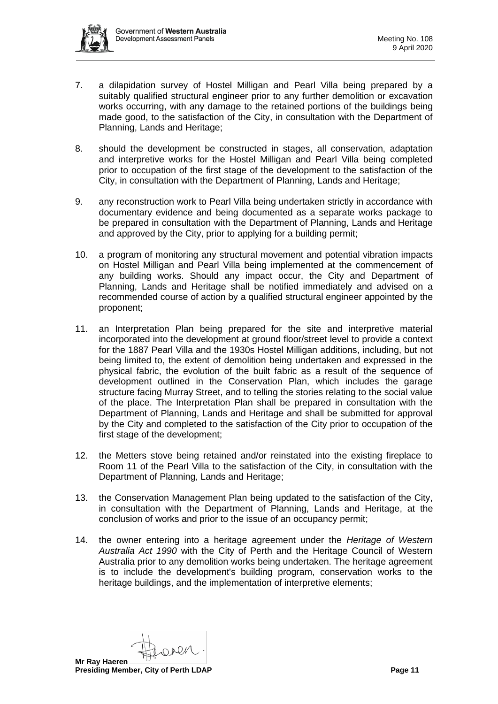

- 7. a dilapidation survey of Hostel Milligan and Pearl Villa being prepared by a suitably qualified structural engineer prior to any further demolition or excavation works occurring, with any damage to the retained portions of the buildings being made good, to the satisfaction of the City, in consultation with the Department of Planning, Lands and Heritage;
- 8. should the development be constructed in stages, all conservation, adaptation and interpretive works for the Hostel Milligan and Pearl Villa being completed prior to occupation of the first stage of the development to the satisfaction of the City, in consultation with the Department of Planning, Lands and Heritage;
- 9. any reconstruction work to Pearl Villa being undertaken strictly in accordance with documentary evidence and being documented as a separate works package to be prepared in consultation with the Department of Planning, Lands and Heritage and approved by the City, prior to applying for a building permit;
- 10. a program of monitoring any structural movement and potential vibration impacts on Hostel Milligan and Pearl Villa being implemented at the commencement of any building works. Should any impact occur, the City and Department of Planning, Lands and Heritage shall be notified immediately and advised on a recommended course of action by a qualified structural engineer appointed by the proponent;
- 11. an Interpretation Plan being prepared for the site and interpretive material incorporated into the development at ground floor/street level to provide a context for the 1887 Pearl Villa and the 1930s Hostel Milligan additions, including, but not being limited to, the extent of demolition being undertaken and expressed in the physical fabric, the evolution of the built fabric as a result of the sequence of development outlined in the Conservation Plan, which includes the garage structure facing Murray Street, and to telling the stories relating to the social value of the place. The Interpretation Plan shall be prepared in consultation with the Department of Planning, Lands and Heritage and shall be submitted for approval by the City and completed to the satisfaction of the City prior to occupation of the first stage of the development;
- 12. the Metters stove being retained and/or reinstated into the existing fireplace to Room 11 of the Pearl Villa to the satisfaction of the City, in consultation with the Department of Planning, Lands and Heritage;
- 13. the Conservation Management Plan being updated to the satisfaction of the City, in consultation with the Department of Planning, Lands and Heritage, at the conclusion of works and prior to the issue of an occupancy permit;
- 14. the owner entering into a heritage agreement under the *Heritage of Western Australia Act 1990* with the City of Perth and the Heritage Council of Western Australia prior to any demolition works being undertaken. The heritage agreement is to include the development's building program, conservation works to the heritage buildings, and the implementation of interpretive elements;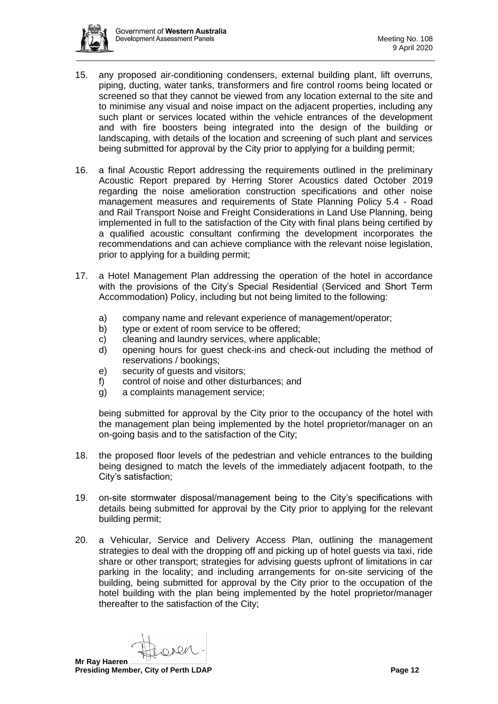

- 15. any proposed air-conditioning condensers, external building plant, lift overruns, piping, ducting, water tanks, transformers and fire control rooms being located or screened so that they cannot be viewed from any location external to the site and to minimise any visual and noise impact on the adjacent properties, including any such plant or services located within the vehicle entrances of the development and with fire boosters being integrated into the design of the building or landscaping, with details of the location and screening of such plant and services being submitted for approval by the City prior to applying for a building permit;
- 16. a final Acoustic Report addressing the requirements outlined in the preliminary Acoustic Report prepared by Herring Storer Acoustics dated October 2019 regarding the noise amelioration construction specifications and other noise management measures and requirements of State Planning Policy 5.4 - Road and Rail Transport Noise and Freight Considerations in Land Use Planning, being implemented in full to the satisfaction of the City with final plans being certified by a qualified acoustic consultant confirming the development incorporates the recommendations and can achieve compliance with the relevant noise legislation, prior to applying for a building permit;
- 17. a Hotel Management Plan addressing the operation of the hotel in accordance with the provisions of the City's Special Residential (Serviced and Short Term Accommodation) Policy, including but not being limited to the following:
	- a) company name and relevant experience of management/operator;
	- b) type or extent of room service to be offered;
	- c) cleaning and laundry services, where applicable;
	- d) opening hours for guest check-ins and check-out including the method of reservations / bookings;
	- e) security of guests and visitors;
	- f) control of noise and other disturbances; and
	- g) a complaints management service;

being submitted for approval by the City prior to the occupancy of the hotel with the management plan being implemented by the hotel proprietor/manager on an on-going basis and to the satisfaction of the City;

- 18. the proposed floor levels of the pedestrian and vehicle entrances to the building being designed to match the levels of the immediately adjacent footpath, to the City's satisfaction;
- 19. on-site stormwater disposal/management being to the City's specifications with details being submitted for approval by the City prior to applying for the relevant building permit;
- 20. a Vehicular, Service and Delivery Access Plan, outlining the management strategies to deal with the dropping off and picking up of hotel guests via taxi, ride share or other transport; strategies for advising guests upfront of limitations in car parking in the locality; and including arrangements for on-site servicing of the building, being submitted for approval by the City prior to the occupation of the hotel building with the plan being implemented by the hotel proprietor/manager thereafter to the satisfaction of the City;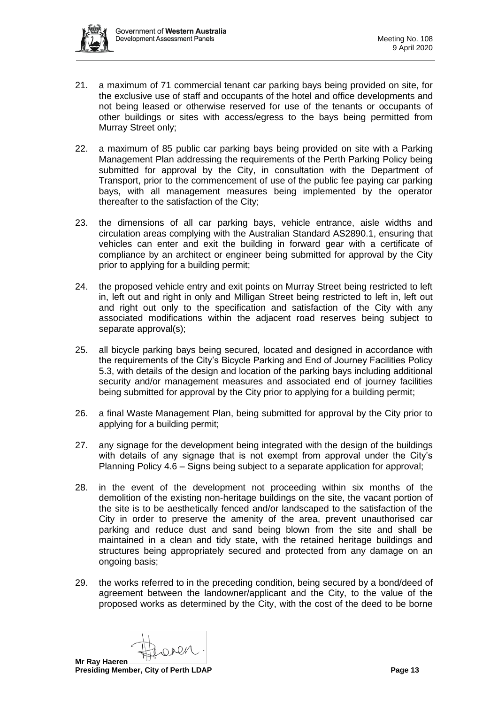

- 21. a maximum of 71 commercial tenant car parking bays being provided on site, for the exclusive use of staff and occupants of the hotel and office developments and not being leased or otherwise reserved for use of the tenants or occupants of other buildings or sites with access/egress to the bays being permitted from Murray Street only;
- 22. a maximum of 85 public car parking bays being provided on site with a Parking Management Plan addressing the requirements of the Perth Parking Policy being submitted for approval by the City, in consultation with the Department of Transport, prior to the commencement of use of the public fee paying car parking bays, with all management measures being implemented by the operator thereafter to the satisfaction of the City;
- 23. the dimensions of all car parking bays, vehicle entrance, aisle widths and circulation areas complying with the Australian Standard AS2890.1, ensuring that vehicles can enter and exit the building in forward gear with a certificate of compliance by an architect or engineer being submitted for approval by the City prior to applying for a building permit;
- 24. the proposed vehicle entry and exit points on Murray Street being restricted to left in, left out and right in only and Milligan Street being restricted to left in, left out and right out only to the specification and satisfaction of the City with any associated modifications within the adjacent road reserves being subject to separate approval(s);
- 25. all bicycle parking bays being secured, located and designed in accordance with the requirements of the City's Bicycle Parking and End of Journey Facilities Policy 5.3, with details of the design and location of the parking bays including additional security and/or management measures and associated end of journey facilities being submitted for approval by the City prior to applying for a building permit;
- 26. a final Waste Management Plan, being submitted for approval by the City prior to applying for a building permit;
- 27. any signage for the development being integrated with the design of the buildings with details of any signage that is not exempt from approval under the City's Planning Policy 4.6 – Signs being subject to a separate application for approval;
- 28. in the event of the development not proceeding within six months of the demolition of the existing non-heritage buildings on the site, the vacant portion of the site is to be aesthetically fenced and/or landscaped to the satisfaction of the City in order to preserve the amenity of the area, prevent unauthorised car parking and reduce dust and sand being blown from the site and shall be maintained in a clean and tidy state, with the retained heritage buildings and structures being appropriately secured and protected from any damage on an ongoing basis;
- 29. the works referred to in the preceding condition, being secured by a bond/deed of agreement between the landowner/applicant and the City, to the value of the proposed works as determined by the City, with the cost of the deed to be borne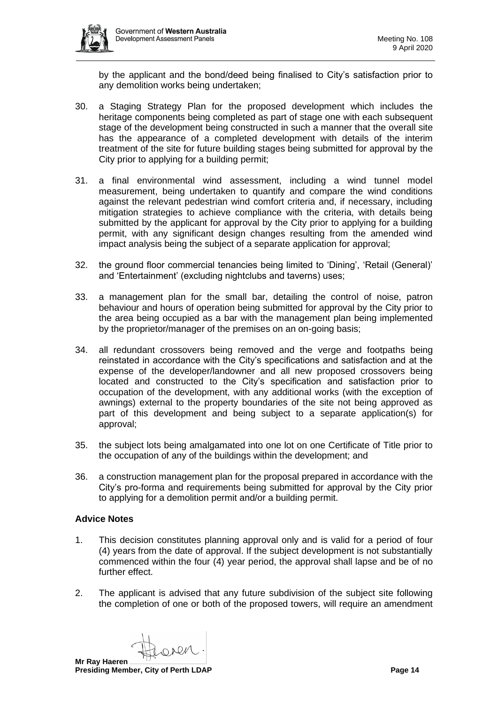by the applicant and the bond/deed being finalised to City's satisfaction prior to any demolition works being undertaken;

- 30. a Staging Strategy Plan for the proposed development which includes the heritage components being completed as part of stage one with each subsequent stage of the development being constructed in such a manner that the overall site has the appearance of a completed development with details of the interim treatment of the site for future building stages being submitted for approval by the City prior to applying for a building permit;
- 31. a final environmental wind assessment, including a wind tunnel model measurement, being undertaken to quantify and compare the wind conditions against the relevant pedestrian wind comfort criteria and, if necessary, including mitigation strategies to achieve compliance with the criteria, with details being submitted by the applicant for approval by the City prior to applying for a building permit, with any significant design changes resulting from the amended wind impact analysis being the subject of a separate application for approval;
- 32. the ground floor commercial tenancies being limited to 'Dining', 'Retail (General)' and 'Entertainment' (excluding nightclubs and taverns) uses;
- 33. a management plan for the small bar, detailing the control of noise, patron behaviour and hours of operation being submitted for approval by the City prior to the area being occupied as a bar with the management plan being implemented by the proprietor/manager of the premises on an on-going basis;
- 34. all redundant crossovers being removed and the verge and footpaths being reinstated in accordance with the City's specifications and satisfaction and at the expense of the developer/landowner and all new proposed crossovers being located and constructed to the City's specification and satisfaction prior to occupation of the development, with any additional works (with the exception of awnings) external to the property boundaries of the site not being approved as part of this development and being subject to a separate application(s) for approval;
- 35. the subject lots being amalgamated into one lot on one Certificate of Title prior to the occupation of any of the buildings within the development; and
- 36. a construction management plan for the proposal prepared in accordance with the City's pro-forma and requirements being submitted for approval by the City prior to applying for a demolition permit and/or a building permit.

# **Advice Notes**

- 1. This decision constitutes planning approval only and is valid for a period of four (4) years from the date of approval. If the subject development is not substantially commenced within the four (4) year period, the approval shall lapse and be of no further effect.
- 2. The applicant is advised that any future subdivision of the subject site following the completion of one or both of the proposed towers, will require an amendment